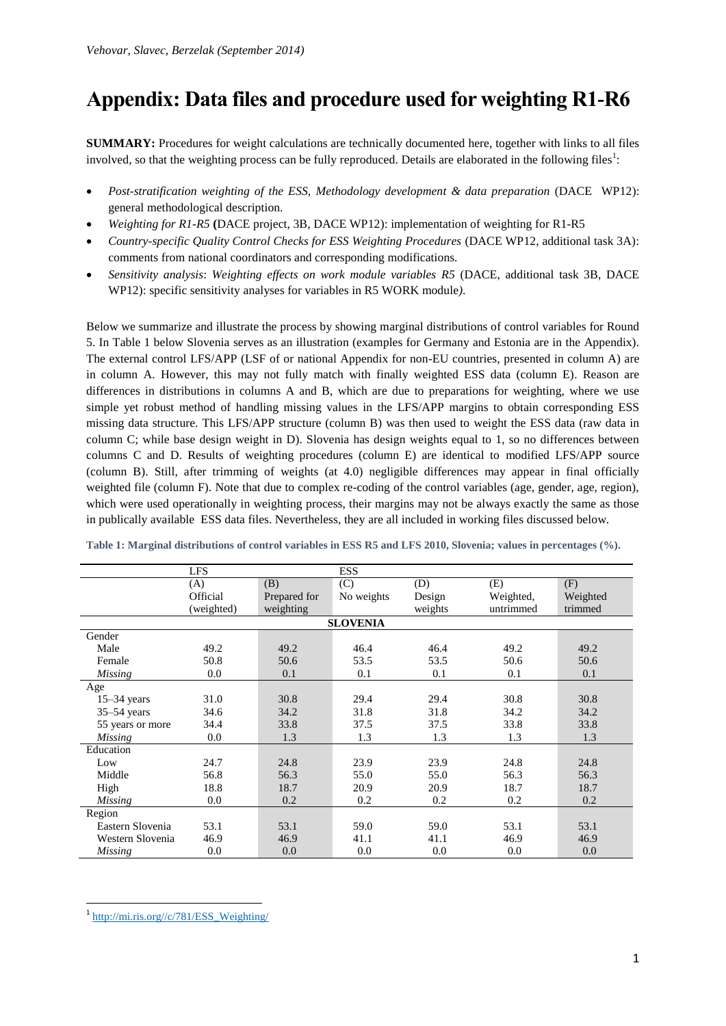# **Appendix: Data files and procedure used for weighting R1-R6**

**SUMMARY:** Procedures for weight calculations are technically documented here, together with links to all files involved, so that the weighting process can be fully reproduced. Details are elaborated in the following files<sup>1</sup>:

- *Post-stratification weighting of the ESS, Methodology development & data preparation* (DACE WP12): general methodological description.
- *Weighting for R1-R5* **(**DACE project, 3B, DACE WP12): implementation of weighting for R1-R5
- *Country-specific Quality Control Checks for ESS Weighting Procedures* (DACE WP12, additional task 3A): comments from national coordinators and corresponding modifications.
- *Sensitivity analysis*: *Weighting effects on work module variables R5* (DACE, additional task 3B, DACE WP12): specific sensitivity analyses for variables in R5 WORK module*)*.

Below we summarize and illustrate the process by showing marginal distributions of control variables for Round 5. In Table 1 below Slovenia serves as an illustration (examples for Germany and Estonia are in the Appendix). The external control LFS/APP (LSF of or national Appendix for non-EU countries, presented in column A) are in column A. However, this may not fully match with finally weighted ESS data (column E). Reason are differences in distributions in columns A and B, which are due to preparations for weighting, where we use simple yet robust method of handling missing values in the LFS/APP margins to obtain corresponding ESS missing data structure. This LFS/APP structure (column B) was then used to weight the ESS data (raw data in column C; while base design weight in D). Slovenia has design weights equal to 1, so no differences between columns C and D. Results of weighting procedures (column E) are identical to modified LFS/APP source (column B). Still, after trimming of weights (at 4.0) negligible differences may appear in final officially weighted file (column F). Note that due to complex re-coding of the control variables (age, gender, age, region), which were used operationally in weighting process, their margins may not be always exactly the same as those in publically available ESS data files. Nevertheless, they are all included in working files discussed below.

|                  | <b>LFS</b> |              | <b>ESS</b> |         |           |          |  |  |  |
|------------------|------------|--------------|------------|---------|-----------|----------|--|--|--|
|                  | (A)        | (B)          | (C)        | (D)     | (E)       | (F)      |  |  |  |
|                  | Official   | Prepared for | No weights | Design  | Weighted, | Weighted |  |  |  |
|                  | (weighted) | weighting    |            | weights | untrimmed | trimmed  |  |  |  |
| <b>SLOVENIA</b>  |            |              |            |         |           |          |  |  |  |
| Gender           |            |              |            |         |           |          |  |  |  |
| Male             | 49.2       | 49.2         | 46.4       | 46.4    | 49.2      | 49.2     |  |  |  |
| Female           | 50.8       | 50.6         | 53.5       | 53.5    | 50.6      | 50.6     |  |  |  |
| <b>Missing</b>   | 0.0        | 0.1          | 0.1        | 0.1     | 0.1       | 0.1      |  |  |  |
| Age              |            |              |            |         |           |          |  |  |  |
| $15-34$ years    | 31.0       | 30.8         | 29.4       | 29.4    | 30.8      | 30.8     |  |  |  |
| $35 - 54$ years  | 34.6       | 34.2         | 31.8       | 31.8    | 34.2      | 34.2     |  |  |  |
| 55 years or more | 34.4       | 33.8         | 37.5       | 37.5    | 33.8      | 33.8     |  |  |  |
| <b>Missing</b>   | 0.0        | 1.3          | 1.3        | 1.3     | 1.3       | 1.3      |  |  |  |
| Education        |            |              |            |         |           |          |  |  |  |
| Low              | 24.7       | 24.8         | 23.9       | 23.9    | 24.8      | 24.8     |  |  |  |
| Middle           | 56.8       | 56.3         | 55.0       | 55.0    | 56.3      | 56.3     |  |  |  |
| High             | 18.8       | 18.7         | 20.9       | 20.9    | 18.7      | 18.7     |  |  |  |
| <b>Missing</b>   | 0.0        | 0.2          | 0.2        | 0.2     | 0.2       | 0.2      |  |  |  |
| Region           |            |              |            |         |           |          |  |  |  |
| Eastern Slovenia | 53.1       | 53.1         | 59.0       | 59.0    | 53.1      | 53.1     |  |  |  |
| Western Slovenia | 46.9       | 46.9         | 41.1       | 41.1    | 46.9      | 46.9     |  |  |  |
| <b>Missing</b>   | 0.0        | 0.0          | 0.0        | 0.0     | 0.0       | 0.0      |  |  |  |

**Table 1: Marginal distributions of control variables in ESS R5 and LFS 2010, Slovenia; values in percentages (%).**

1

<sup>&</sup>lt;sup>1</sup>[http://mi.ris.org//c/781/ESS\\_Weighting/](http://mi.ris.org/c/781/ESS_Weighting/)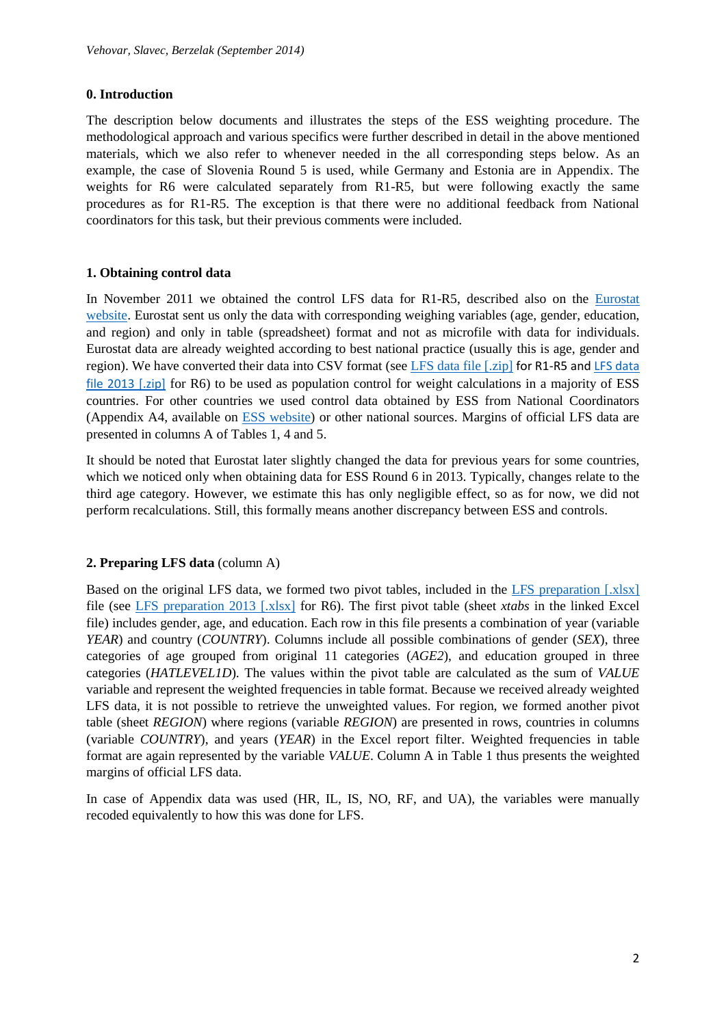### **0. Introduction**

The description below documents and illustrates the steps of the ESS weighting procedure. The methodological approach and various specifics were further described in detail in the above mentioned materials, which we also refer to whenever needed in the all corresponding steps below. As an example, the case of Slovenia Round 5 is used, while Germany and Estonia are in Appendix. The weights for R6 were calculated separately from R1-R5, but were following exactly the same procedures as for R1-R5. The exception is that there were no additional feedback from National coordinators for this task, but their previous comments were included.

### **1. Obtaining control data**

In November 2011 we obtained the control LFS data for R1-R5, described also on the [Eurostat](http://epp.eurostat.ec.europa.eu/portal/page/portal/microdata/lfs)  [website.](http://epp.eurostat.ec.europa.eu/portal/page/portal/microdata/lfs) Eurostat sent us only the data with corresponding weighing variables (age, gender, education, and region) and only in table (spreadsheet) format and not as microfile with data for individuals. Eurostat data are already weighted according to best national practice (usually this is age, gender and region). We have converted their data into CSV format (see [LFS data file \[.zip\]](http://mi.ris.org/uploadi/editor/DnD1321318530veh8040701_20110621.zip) for R1-R5 and [LFS data](file:///C:/Users/vehovarv/AppData/Local/Temp/•%09http:/mi.ris.org/uploadi/editor/DnD1369218383veh8040701_20130516.zip)  [file 2013 \[.zip\]](file:///C:/Users/vehovarv/AppData/Local/Temp/•%09http:/mi.ris.org/uploadi/editor/DnD1369218383veh8040701_20130516.zip) for R6) to be used as population control for weight calculations in a majority of ESS countries. For other countries we used control data obtained by ESS from National Coordinators (Appendix A4, available on [ESS website\)](http://www.europeansocialsurvey.org/data/) or other national sources. Margins of official LFS data are presented in columns A of Tables 1, 4 and 5.

It should be noted that Eurostat later slightly changed the data for previous years for some countries, which we noticed only when obtaining data for ESS Round 6 in 2013. Typically, changes relate to the third age category. However, we estimate this has only negligible effect, so as for now, we did not perform recalculations. Still, this formally means another discrepancy between ESS and controls.

## **2. Preparing LFS data** (column A)

Based on the original LFS data, we formed two pivot tables, included in the [LFS preparation \[.xlsx\]](http://mi.ris.org/uploadi/editor/DnD1397680956LFSdata2010.xlsx) file (see [LFS preparation 2013 \[.xlsx\]](http://mi.ris.org/uploadi/editor/DnD1412087271LFSdata2013.zip) for R6). The first pivot table (sheet *xtabs* in the linked Excel file) includes gender, age, and education. Each row in this file presents a combination of year (variable *YEAR*) and country (*COUNTRY*). Columns include all possible combinations of gender (*SEX*), three categories of age grouped from original 11 categories (*AGE2*), and education grouped in three categories (*HATLEVEL1D*). The values within the pivot table are calculated as the sum of *VALUE* variable and represent the weighted frequencies in table format. Because we received already weighted LFS data, it is not possible to retrieve the unweighted values. For region, we formed another pivot table (sheet *REGION*) where regions (variable *REGION*) are presented in rows, countries in columns (variable *COUNTRY*), and years (*YEAR*) in the Excel report filter. Weighted frequencies in table format are again represented by the variable *VALUE*. Column A in Table 1 thus presents the weighted margins of official LFS data.

In case of Appendix data was used (HR, IL, IS, NO, RF, and UA), the variables were manually recoded equivalently to how this was done for LFS.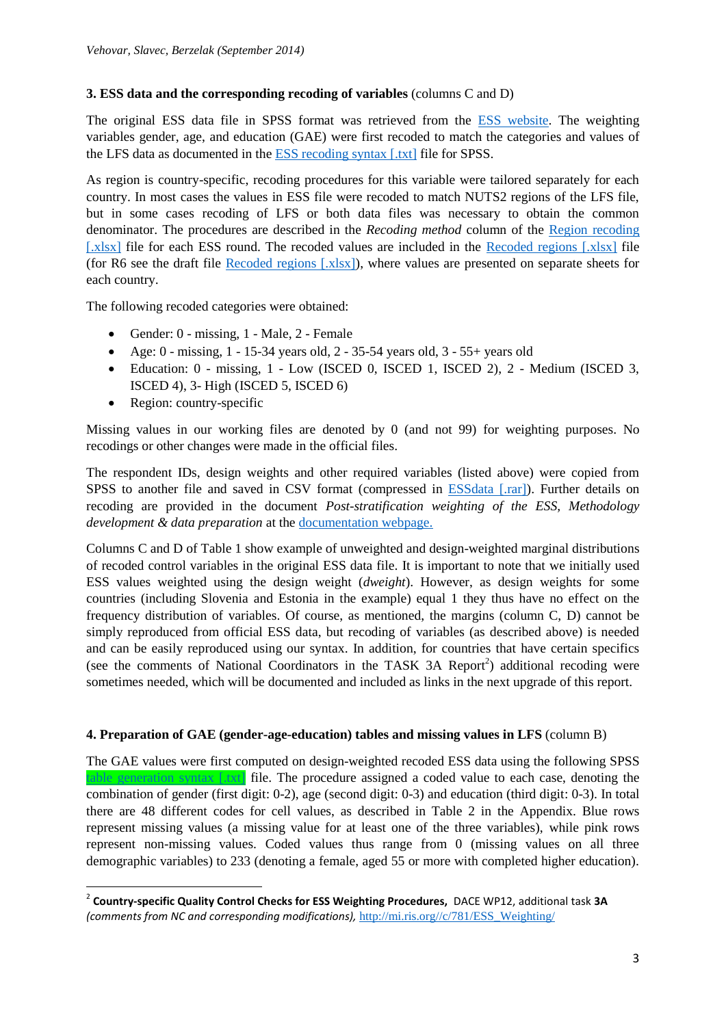# **3. ESS data and the corresponding recoding of variables** (columns C and D)

The original ESS data file in SPSS format was retrieved from the [ESS website.](http://www.europeansocialsurvey.org/data/) The weighting variables gender, age, and education (GAE) were first recoded to match the categories and values of the LFS data as documented in th[e ESS recoding syntax \[.txt\]](http://mi.ris.org/uploadi/editor/DnD1398725503GAEsyntax.txt) file for SPSS.

As region is country-specific, recoding procedures for this variable were tailored separately for each country. In most cases the values in ESS file were recoded to match NUTS2 regions of the LFS file, but in some cases recoding of LFS or both data files was necessary to obtain the common denominator. The procedures are described in the *Recoding method* column of the [Region recoding](http://mi.ris.org/uploadi/editor/DnD1412089440REGION_recode.xlsx)  [\[.xlsx\]](http://mi.ris.org/uploadi/editor/DnD1412089440REGION_recode.xlsx) file for each ESS round. The recoded values are included in the [Recoded regions \[.xlsx\]](http://mi.ris.org/uploadi/editor/DnD1397749552Region-output.xlsx) file (for R6 see the draft file [Recoded regions \[.xlsx\]\)](http://mi.ris.org/uploadi/editor/DnD1412089440Region.xlsx), where values are presented on separate sheets for each country.

The following recoded categories were obtained:

- Gender: 0 missing, 1 Male, 2 Female
- Age: 0 missing, 1 15-34 years old, 2 35-54 years old,  $3 55+$  years old
- Education: 0 missing, 1 Low (ISCED 0, ISCED 1, ISCED 2), 2 Medium (ISCED 3, ISCED 4), 3- High (ISCED 5, ISCED 6)
- Region: country-specific

 $\overline{\phantom{a}}$ 

Missing values in our working files are denoted by 0 (and not 99) for weighting purposes. No recodings or other changes were made in the official files.

The respondent IDs, design weights and other required variables (listed above) were copied from SPSS to another file and saved in CSV format (compressed in [ESSdata \[.rar\]\)](http://mi.ris.org/uploadi/editor/DnD1401873073ESSdata.rar). Further details on recoding are provided in the document *Post-stratification weighting of the ESS, Methodology development & data preparation* at the [documentation webpage.](http://mi.ris.org/c/781/ESS_Weighting/)

Columns C and D of Table 1 show example of unweighted and design-weighted marginal distributions of recoded control variables in the original ESS data file. It is important to note that we initially used ESS values weighted using the design weight (*dweight*). However, as design weights for some countries (including Slovenia and Estonia in the example) equal 1 they thus have no effect on the frequency distribution of variables. Of course, as mentioned, the margins (column C, D) cannot be simply reproduced from official ESS data, but recoding of variables (as described above) is needed and can be easily reproduced using our syntax. In addition, for countries that have certain specifics (see the comments of National Coordinators in the TASK 3A Report<sup>2</sup>) additional recoding were sometimes needed, which will be documented and included as links in the next upgrade of this report.

# **4. Preparation of GAE (gender-age-education) tables and missing values in LFS** (column B)

The GAE values were first computed on design-weighted recoded ESS data using the following SPSS [table generation syntax \[.txt\]](http://mi.ris.org/uploadi/editor/DnD1398140975GAEsyntax3D.txt) file. The procedure assigned a coded value to each case, denoting the combination of gender (first digit: 0-2), age (second digit: 0-3) and education (third digit: 0-3). In total there are 48 different codes for cell values, as described in Table 2 in the Appendix. Blue rows represent missing values (a missing value for at least one of the three variables), while pink rows represent non-missing values. Coded values thus range from 0 (missing values on all three demographic variables) to 233 (denoting a female, aged 55 or more with completed higher education).

<sup>2</sup> **Country-specific Quality Control Checks for ESS Weighting Procedures,** DACE WP12, additional task **3A**  *(comments from NC and corresponding modifications),* [http://mi.ris.org//c/781/ESS\\_Weighting/](http://mi.ris.org/c/781/ESS_Weighting/)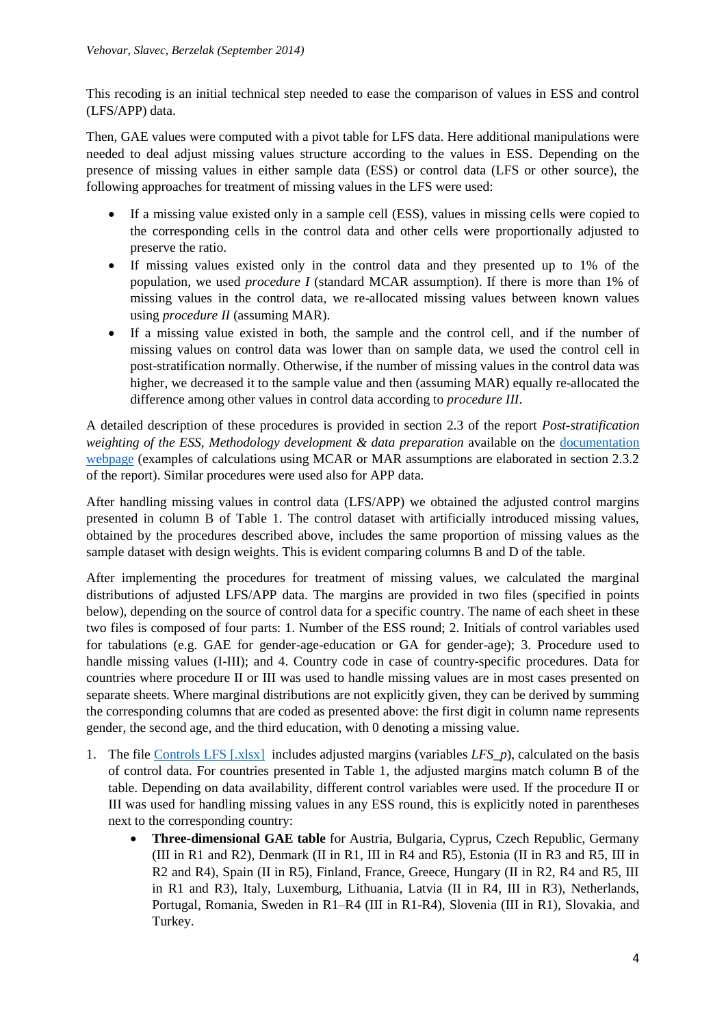This recoding is an initial technical step needed to ease the comparison of values in ESS and control (LFS/APP) data.

Then, GAE values were computed with a pivot table for LFS data. Here additional manipulations were needed to deal adjust missing values structure according to the values in ESS. Depending on the presence of missing values in either sample data (ESS) or control data (LFS or other source), the following approaches for treatment of missing values in the LFS were used:

- If a missing value existed only in a sample cell (ESS), values in missing cells were copied to the corresponding cells in the control data and other cells were proportionally adjusted to preserve the ratio.
- If missing values existed only in the control data and they presented up to 1% of the population, we used *procedure I* (standard MCAR assumption). If there is more than 1% of missing values in the control data, we re-allocated missing values between known values using *procedure II* (assuming MAR).
- If a missing value existed in both, the sample and the control cell, and if the number of missing values on control data was lower than on sample data, we used the control cell in post-stratification normally. Otherwise, if the number of missing values in the control data was higher, we decreased it to the sample value and then (assuming MAR) equally re-allocated the difference among other values in control data according to *procedure III*.

A detailed description of these procedures is provided in section 2.3 of the report *Post-stratification weighting of the ESS, Methodology development & data preparation* available on the [documentation](http://mi.ris.org/c/781/ESS_Weighting/)  [webpage](http://mi.ris.org/c/781/ESS_Weighting/) (examples of calculations using MCAR or MAR assumptions are elaborated in section 2.3.2 of the report). Similar procedures were used also for APP data.

After handling missing values in control data (LFS/APP) we obtained the adjusted control margins presented in column B of Table 1. The control dataset with artificially introduced missing values, obtained by the procedures described above, includes the same proportion of missing values as the sample dataset with design weights. This is evident comparing columns B and D of the table.

After implementing the procedures for treatment of missing values, we calculated the marginal distributions of adjusted LFS/APP data. The margins are provided in two files (specified in points below), depending on the source of control data for a specific country. The name of each sheet in these two files is composed of four parts: 1. Number of the ESS round; 2. Initials of control variables used for tabulations (e.g. GAE for gender-age-education or GA for gender-age); 3. Procedure used to handle missing values (I-III); and 4. Country code in case of country-specific procedures. Data for countries where procedure II or III was used to handle missing values are in most cases presented on separate sheets. Where marginal distributions are not explicitly given, they can be derived by summing the corresponding columns that are coded as presented above: the first digit in column name represents gender, the second age, and the third education, with 0 denoting a missing value.

- 1. The file [Controls LFS \[.xlsx\]](http://mi.ris.org/uploadi/editor/DnD1412062979LFScontrolvariables.xlsx) includes adjusted margins (variables *LFS\_p*), calculated on the basis of control data. For countries presented in Table 1, the adjusted margins match column B of the table. Depending on data availability, different control variables were used. If the procedure II or III was used for handling missing values in any ESS round, this is explicitly noted in parentheses next to the corresponding country:
	- **Three-dimensional GAE table** for Austria, Bulgaria, Cyprus, Czech Republic, Germany (III in R1 and R2), Denmark (II in R1, III in R4 and R5), Estonia (II in R3 and R5, III in R2 and R4), Spain (II in R5), Finland, France, Greece, Hungary (II in R2, R4 and R5, III in R1 and R3), Italy, Luxemburg, Lithuania, Latvia (II in R4, III in R3), Netherlands, Portugal, Romania, Sweden in R1–R4 (III in R1-R4), Slovenia (III in R1), Slovakia, and Turkey.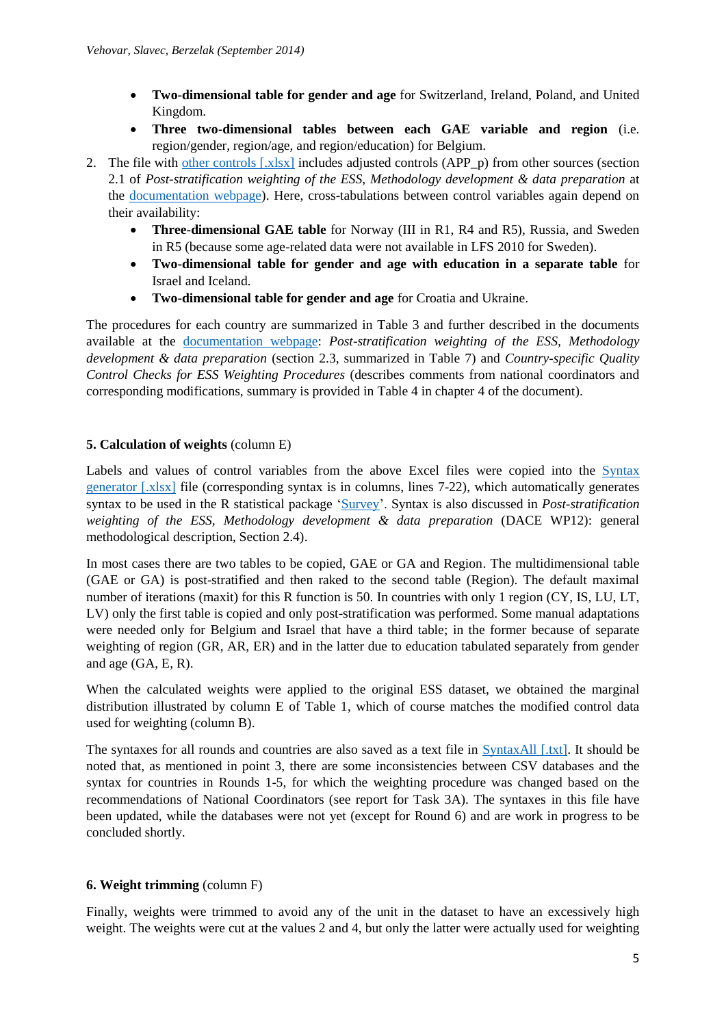- **Two-dimensional table for gender and age** for Switzerland, Ireland, Poland, and United Kingdom.
- **Three two-dimensional tables between each GAE variable and region** (i.e. region/gender, region/age, and region/education) for Belgium.
- 2. The file with [other controls \[.xlsx\]](http://mi.ris.org/uploadi/editor/DnD1412062979APPcontrolvariables.xlsx) includes adjusted controls (APP\_p) from other sources (section 2.1 of *Post-stratification weighting of the ESS, Methodology development & data preparation* at the [documentation webpage\)](http://mi.ris.org/c/781/ESS_Weighting/). Here, cross-tabulations between control variables again depend on their availability:
	- **Three-dimensional GAE table** for Norway (III in R1, R4 and R5), Russia, and Sweden in R5 (because some age-related data were not available in LFS 2010 for Sweden).
	- **Two-dimensional table for gender and age with education in a separate table** for Israel and Iceland.
	- **Two-dimensional table for gender and age** for Croatia and Ukraine.

The procedures for each country are summarized in Table 3 and further described in the documents available at the [documentation webpage:](http://mi.ris.org/c/781/ESS_Weighting/) *Post-stratification weighting of the ESS, Methodology development & data preparation* (section 2.3, summarized in Table 7) and *Country-specific Quality Control Checks for ESS Weighting Procedures* (describes comments from national coordinators and corresponding modifications, summary is provided in Table 4 in chapter 4 of the document).

# **5. Calculation of weights** (column E)

Labels and values of control variables from the above Excel files were copied into the Syntax [generator \[.xlsx\]](file:///C:/Users/vehovarv/AppData/Local/Temp/•%09http:/mi.ris.org/uploadi/editor/DnD1412070784syntaxgeneratorR1-R6.xlsx) file (corresponding syntax is in columns, lines 7-22), which automatically generates syntax to be used in the R statistical package ['Survey'](http://cran.r-project.org/web/packages/survey/index.html). Syntax is also discussed in *Post-stratification weighting of the ESS, Methodology development & data preparation* (DACE WP12): general methodological description, Section 2.4).

In most cases there are two tables to be copied, GAE or GA and Region. The multidimensional table (GAE or GA) is post-stratified and then raked to the second table (Region). The default maximal number of iterations (maxit) for this R function is 50. In countries with only 1 region (CY, IS, LU, LT, LV) only the first table is copied and only post-stratification was performed. Some manual adaptations were needed only for Belgium and Israel that have a third table; in the former because of separate weighting of region (GR, AR, ER) and in the latter due to education tabulated separately from gender and age (GA, E, R).

When the calculated weights were applied to the original ESS dataset, we obtained the marginal distribution illustrated by column E of Table 1, which of course matches the modified control data used for weighting (column B).

The syntaxes for all rounds and countries are also saved as a text file in [SyntaxAll \[.txt\].](http://mi.ris.org/uploadi/editor/DnD1401873073SyntaxAll.txt) It should be noted that, as mentioned in point 3, there are some inconsistencies between CSV databases and the syntax for countries in Rounds 1-5, for which the weighting procedure was changed based on the recommendations of National Coordinators (see report for Task 3A). The syntaxes in this file have been updated, while the databases were not yet (except for Round 6) and are work in progress to be concluded shortly.

# **6. Weight trimming** (column F)

Finally, weights were trimmed to avoid any of the unit in the dataset to have an excessively high weight. The weights were cut at the values 2 and 4, but only the latter were actually used for weighting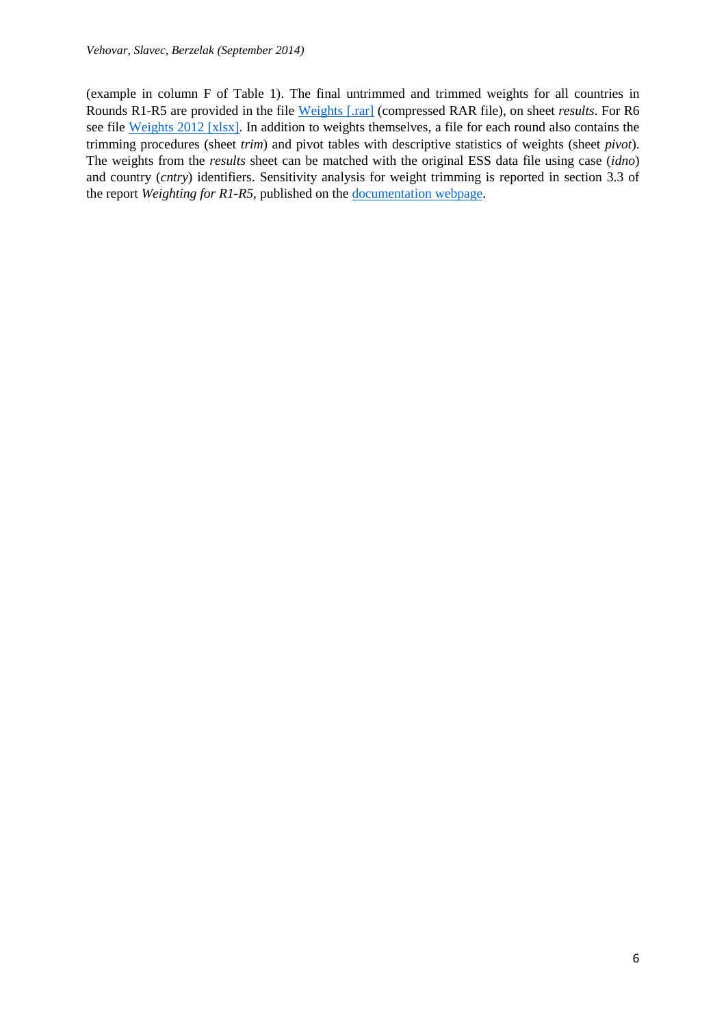(example in column F of Table 1). The final untrimmed and trimmed weights for all countries in Rounds R1-R5 are provided in the file [Weights](http://mi.ris.org/uploadi/editor/DnD1398446211Weights.rar) [.rar] (compressed RAR file), on sheet *results*. For R6 see file [Weights 2012 \[xlsx\].](http://mi.ris.org/uploadi/editor/DnD1399663346w2012results.xlsx) In addition to weights themselves, a file for each round also contains the trimming procedures (sheet *trim*) and pivot tables with descriptive statistics of weights (sheet *pivot*). The weights from the *results* sheet can be matched with the original ESS data file using case (*idno*) and country (*cntry*) identifiers. Sensitivity analysis for weight trimming is reported in section 3.3 of the report *Weighting for R1-R5*, published on the [documentation webpage.](http://mi.ris.org/c/781/ESS_Weighting/)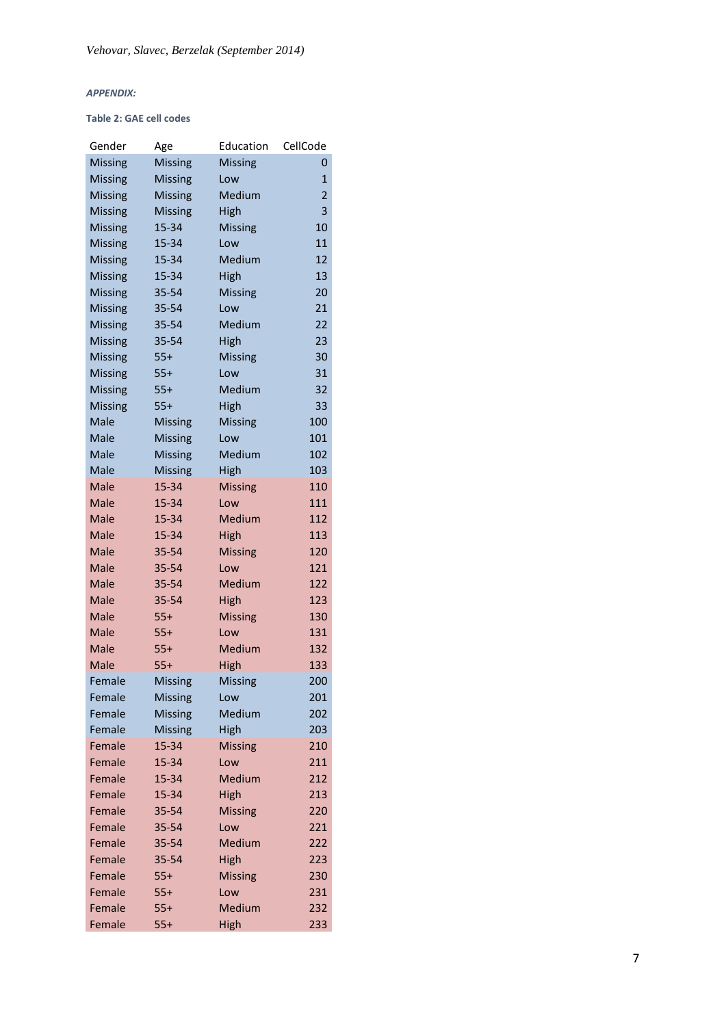#### *APPENDIX:*

#### **Table 2: GAE cell codes**

| Gender         | Age            | Education      | CellCode       |
|----------------|----------------|----------------|----------------|
| <b>Missing</b> | <b>Missing</b> | <b>Missing</b> | 0              |
| <b>Missing</b> | <b>Missing</b> | Low            | 1              |
| <b>Missing</b> | <b>Missing</b> | Medium         | $\overline{2}$ |
| <b>Missing</b> | <b>Missing</b> | High           | 3              |
| <b>Missing</b> | 15-34          | <b>Missing</b> | 10             |
| <b>Missing</b> | 15-34          | Low            | 11             |
| <b>Missing</b> | 15-34          | Medium         | 12             |
| <b>Missing</b> | 15-34          | High           | 13             |
| <b>Missing</b> | 35-54          | <b>Missing</b> | 20             |
| <b>Missing</b> | 35-54          | Low            | 21             |
| <b>Missing</b> | 35-54          | Medium         | 22             |
| <b>Missing</b> | 35-54          | High           | 23             |
| <b>Missing</b> | $55+$          | <b>Missing</b> | 30             |
| <b>Missing</b> | $55+$          | Low            | 31             |
| <b>Missing</b> | $55+$          | Medium         | 32             |
| <b>Missing</b> | $55+$          | High           | 33             |
| Male           | <b>Missing</b> | <b>Missing</b> | 100            |
| Male           | <b>Missing</b> | Low            | 101            |
| Male           | <b>Missing</b> | Medium         | 102            |
| Male           | <b>Missing</b> | High           | 103            |
| Male           | 15-34          | <b>Missing</b> | 110            |
| Male           | 15-34          | Low            | 111            |
| Male           | 15-34          | Medium         | 112            |
| Male           | 15-34          | High           | 113            |
| Male           | 35-54          | <b>Missing</b> | 120            |
| Male           | 35-54          | Low            | 121            |
| Male           | 35-54          | Medium         | 122            |
| Male           | 35-54          | <b>High</b>    | 123            |
| Male           | $55+$          | <b>Missing</b> | 130            |
| Male           | $55+$          | Low<br>Medium  | 131            |
| Male<br>Male   | $55+$<br>$55+$ | High           | 132<br>133     |
| Female         | <b>Missing</b> | <b>Missing</b> | 200            |
| Female         | <b>Missing</b> | Low            | 201            |
| Female         | <b>Missing</b> | Medium         | 202            |
| Female         | <b>Missing</b> | High           | 203            |
| Female         | 15-34          | <b>Missing</b> | 210            |
| Female         | 15-34          | Low            | 211            |
| Female         | 15-34          | Medium         | 212            |
| Female         | 15-34          | High           | 213            |
| Female         | 35-54          | <b>Missing</b> | 220            |
| Female         | 35-54          | Low            | 221            |
| Female         | 35-54          | Medium         | 222            |
| Female         | 35-54          | High           | 223            |
| Female         | $55+$          | <b>Missing</b> | 230            |
| Female         | $55+$          | Low            | 231            |
| Female         | $55+$          | Medium         | 232            |
| Female         | $55+$          | High           | 233            |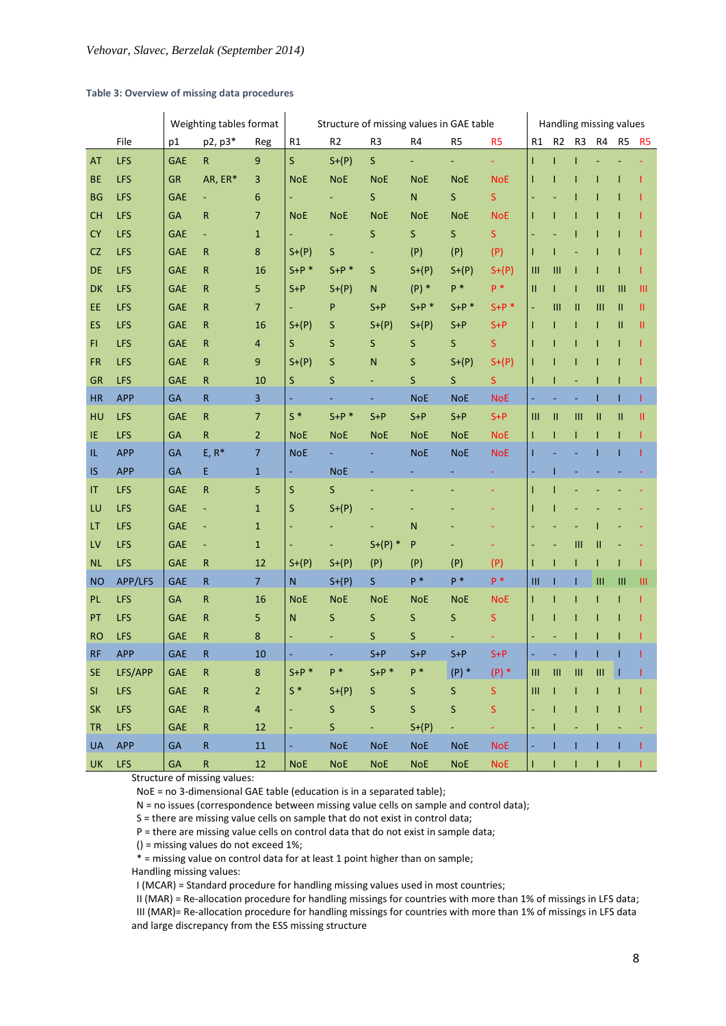#### **Table 3: Overview of missing data procedures**

|           |            |            | Weighting tables format |                | Structure of missing values in GAE table |                |              |                |                | Handling missing values |                                  |                                    |                                  |                                    |              |                |
|-----------|------------|------------|-------------------------|----------------|------------------------------------------|----------------|--------------|----------------|----------------|-------------------------|----------------------------------|------------------------------------|----------------------------------|------------------------------------|--------------|----------------|
|           | File       | p1         | p2, p3*                 | Reg            | R1                                       | R <sub>2</sub> | R3           | R4             | R <sub>5</sub> | R <sub>5</sub>          | R1                               | R <sub>2</sub>                     | R <sub>3</sub>                   | R4                                 | R5           | R <sub>5</sub> |
| AT        | <b>LFS</b> | <b>GAE</b> | ${\sf R}$               | $9\,$          | S.                                       | $S+(P)$        | $\mathsf{S}$ | $\blacksquare$ |                | ÷.                      | $\mathbf{I}$                     | T                                  | $\mathbf{I}$                     |                                    |              |                |
| <b>BE</b> | <b>LFS</b> | <b>GR</b>  | AR, ER*                 | 3              | <b>NoE</b>                               | <b>NoE</b>     | <b>NoE</b>   | <b>NoE</b>     | <b>NoE</b>     | <b>NoE</b>              |                                  |                                    |                                  |                                    |              |                |
| <b>BG</b> | <b>LFS</b> | <b>GAE</b> |                         | 6              |                                          |                | S            | N              | $\mathsf S$    | S                       |                                  |                                    |                                  |                                    |              |                |
| CH        | <b>LFS</b> | <b>GA</b>  | R                       | $\overline{7}$ | <b>NoE</b>                               | <b>NoE</b>     | <b>NoE</b>   | <b>NoE</b>     | <b>NoE</b>     | <b>NoE</b>              |                                  |                                    |                                  |                                    |              |                |
| <b>CY</b> | <b>LFS</b> | <b>GAE</b> | ÷                       | $\mathbf{1}$   |                                          | ÷,             | S            | $\mathsf{S}$   | $\mathsf S$    | S.                      |                                  |                                    |                                  |                                    |              |                |
| <b>CZ</b> | <b>LFS</b> | <b>GAE</b> | R                       | 8              | $S+(P)$                                  | S              |              | (P)            | (P)            | (P)                     |                                  |                                    |                                  |                                    |              |                |
| <b>DE</b> | <b>LFS</b> | <b>GAE</b> | R                       | 16             | $S+P$ *                                  | $S+P$ *        | S            | $S+(P)$        | $S+(P)$        | $S+(P)$                 | Ш                                | Ш                                  | T                                |                                    |              |                |
| <b>DK</b> | <b>LFS</b> | <b>GAE</b> | R                       | 5              | S+P                                      | $S+(P)$        | N            | $(P)$ *        | $P^*$          | $P^*$                   | Ш                                |                                    | T                                | Ш                                  | Ш            | Ш              |
| EE.       | <b>LFS</b> | <b>GAE</b> | $\mathsf R$             | $\overline{7}$ |                                          | P              | $S+P$        | $S+P$ *        | $S+P$ *        | $S+P$ *                 |                                  | Ш                                  | Ш                                | Ш                                  | $\mathbf{H}$ | Ш              |
| <b>ES</b> | <b>LFS</b> | <b>GAE</b> | R                       | 16             | $S+(P)$                                  | S              | $S+(P)$      | $S+(P)$        | $S + P$        | $S+P$                   | т                                |                                    | T                                | Т                                  | Ш            | Ш              |
| FL.       | <b>LFS</b> | <b>GAE</b> | $\mathsf R$             | $\overline{4}$ | S                                        | S              | S            | S              | $\mathsf S$    | S                       |                                  |                                    | T                                | п                                  | п            |                |
| <b>FR</b> | <b>LFS</b> | <b>GAE</b> | R                       | 9              | $S+(P)$                                  | $\sf S$        | ${\sf N}$    | $\sf S$        | $S+(P)$        | $S+(P)$                 |                                  |                                    |                                  |                                    |              |                |
| <b>GR</b> | <b>LFS</b> | <b>GAE</b> | ${\sf R}$               | 10             | S                                        | $\sf S$        | Ξ            | S              | $\mathsf S$    | S.                      |                                  |                                    |                                  |                                    |              |                |
| <b>HR</b> | <b>APP</b> | <b>GA</b>  | $\mathsf{R}$            | 3              |                                          |                |              | <b>NoE</b>     | <b>NoE</b>     | <b>NoE</b>              |                                  |                                    |                                  |                                    |              |                |
| HU        | <b>LFS</b> | <b>GAE</b> | ${\sf R}$               | $\overline{7}$ | $S^*$                                    | $S+P$ *        | $S+P$        | $S+P$          | $S+P$          | $S + P$                 | $\mathbf{III}$                   | Ш                                  | Ш                                | Ш                                  | Ш            | Ш              |
| ΙE        | <b>LFS</b> | GA         | R                       | $\overline{2}$ | <b>NoE</b>                               | <b>NoE</b>     | <b>NoE</b>   | <b>NoE</b>     | <b>NoE</b>     | <b>NoE</b>              | Ш                                |                                    | T                                | т                                  | T            |                |
| IL.       | <b>APP</b> | GA         | $E, R^*$                | $\overline{7}$ | <b>NoE</b>                               |                |              | <b>NoE</b>     | <b>NoE</b>     | <b>NoE</b>              |                                  |                                    |                                  |                                    |              |                |
| IS        | <b>APP</b> | <b>GA</b>  | E                       | $\mathbf{1}$   |                                          | <b>NoE</b>     |              |                |                |                         |                                  |                                    |                                  |                                    |              |                |
| IT.       | <b>LFS</b> | <b>GAE</b> | ${\sf R}$               | 5              | S                                        | S              |              |                |                |                         |                                  |                                    |                                  |                                    |              |                |
| LU        | <b>LFS</b> | <b>GAE</b> |                         | $\mathbf{1}$   | S                                        | $S+(P)$        |              |                |                |                         |                                  |                                    |                                  |                                    |              |                |
| LТ        | <b>LFS</b> | <b>GAE</b> |                         | $\mathbf{1}$   |                                          |                |              | N              |                |                         |                                  |                                    |                                  |                                    |              |                |
| LV        | <b>LFS</b> | <b>GAE</b> |                         | $\mathbf{1}$   |                                          |                | $S+(P)$ *    | P              |                |                         |                                  |                                    | $\mathbf{III}$                   | Ш                                  |              |                |
| NL.       | <b>LFS</b> | <b>GAE</b> | R                       | 12             | $S+(P)$                                  | $S+(P)$        | (P)          | (P)            | (P)            | (P)                     |                                  |                                    | $\mathbf{I}$                     | T                                  | T            |                |
| <b>NO</b> | APP/LFS    | <b>GAE</b> | $\mathsf{R}$            | $\overline{7}$ | $\mathsf{N}$                             | $S+(P)$        | S.           | $P^*$          | $P^*$          | $P^*$                   | Ш                                |                                    | T                                | $\mathbf{m}$                       | Ш            | Ш              |
| <b>PL</b> | <b>LFS</b> | <b>GA</b>  | $\mathsf R$             | 16             | <b>NoE</b>                               | <b>NoE</b>     | <b>NoE</b>   | <b>NoE</b>     | <b>NoE</b>     | <b>NoE</b>              | Т                                |                                    | T                                | Т                                  | T            |                |
| PT        | <b>LFS</b> | <b>GAE</b> | ${\sf R}$               | 5              | Ν                                        | S              | S            | S              | S              | S                       |                                  |                                    |                                  |                                    |              |                |
| <b>RO</b> | <b>LFS</b> | <b>GAE</b> | R                       | 8              |                                          |                | S            | S              |                |                         |                                  |                                    | T                                |                                    |              |                |
| RF        | <b>APP</b> | <b>GAE</b> | R                       | 10             |                                          |                | $S+P$        | $S+P$          | $S + P$        | $S + P$                 |                                  |                                    | п                                | ı                                  | ш            |                |
| <b>SE</b> | LFS/APP    | <b>GAE</b> | ${\sf R}$               | $\bf 8$        | $S+P$ *                                  | $P^*$          | $S+P$ *      | $P^*$          | $(P)$ *        | $(P)$ *                 | $\mathop{\mathrm{III}}\nolimits$ | $\ensuremath{\mathsf{III}}\xspace$ | $\mathop{\mathrm{III}}\nolimits$ | $\ensuremath{\mathsf{III}}\xspace$ | ш            |                |
| SI        | <b>LFS</b> | <b>GAE</b> | ${\sf R}$               | $\overline{2}$ | $S^*$                                    | $S+(P)$        | S            | S              | S              | S                       | $\mathbf{m}$                     |                                    | T                                |                                    |              |                |
| SK        | <b>LFS</b> | <b>GAE</b> | ${\sf R}$               | $\sqrt{4}$     | ÷,                                       | S              | $\mathsf S$  | $\mathsf{S}$   | $\mathsf S$    | $\mathsf S$             | ÷,                               |                                    | $\mathbf{I}$                     |                                    |              |                |
| <b>TR</b> | <b>LFS</b> | <b>GAE</b> | ${\sf R}$               | 12             |                                          | S              | ÷            | $S+(P)$        |                |                         |                                  |                                    |                                  |                                    |              |                |
| <b>UA</b> | <b>APP</b> | GA         | $\mathsf{R}$            | $11\,$         |                                          | <b>NoE</b>     | <b>NoE</b>   | <b>NoE</b>     | <b>NoE</b>     | <b>NoE</b>              | ٠                                |                                    | T                                | T                                  | Т.           |                |
| <b>UK</b> | <b>LFS</b> | GA         | R                       | $12\,$         | <b>NoE</b>                               | <b>NoE</b>     | <b>NoE</b>   | <b>NoE</b>     | <b>NoE</b>     | <b>NoE</b>              | T                                |                                    | $\blacklozenge$                  | ÷.                                 | T            |                |

Structure of missing values:

NoE = no 3-dimensional GAE table (education is in a separated table);

N = no issues (correspondence between missing value cells on sample and control data);

S = there are missing value cells on sample that do not exist in control data;

P = there are missing value cells on control data that do not exist in sample data;

() = missing values do not exceed 1%;

\* = missing value on control data for at least 1 point higher than on sample;

Handling missing values:

I (MCAR) = Standard procedure for handling missing values used in most countries;

 II (MAR) = Re-allocation procedure for handling missings for countries with more than 1% of missings in LFS data; III (MAR)= Re-allocation procedure for handling missings for countries with more than 1% of missings in LFS data and large discrepancy from the ESS missing structure